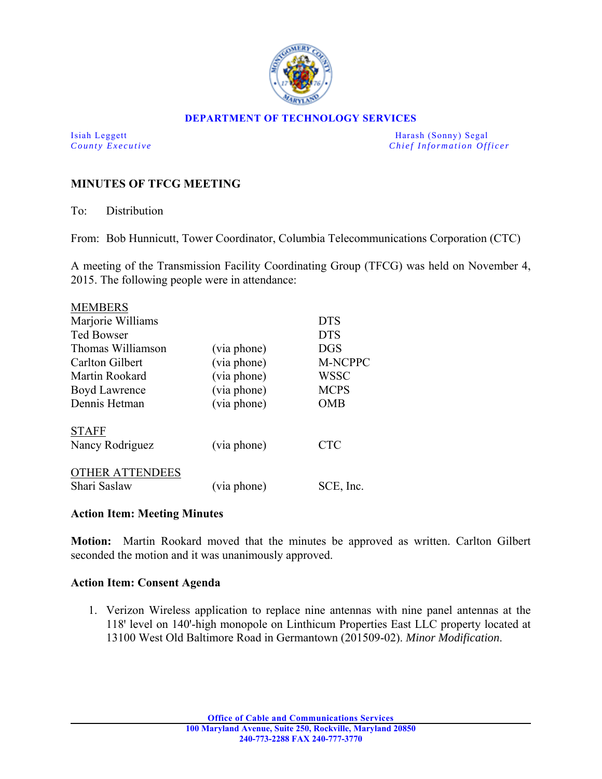

### **DEPARTMENT OF TECHNOLOGY SERVICES**

Isiah Leggett Harash (Sonny) Segal *County Executive* **Countries and** *Chief Information Officer Chief Information Officer* 

# **MINUTES OF TFCG MEETING**

To: Distribution

From: Bob Hunnicutt, Tower Coordinator, Columbia Telecommunications Corporation (CTC)

A meeting of the Transmission Facility Coordinating Group (TFCG) was held on November 4, 2015. The following people were in attendance:

| <b>MEMBERS</b>         |             |                |
|------------------------|-------------|----------------|
| Marjorie Williams      |             | <b>DTS</b>     |
| <b>Ted Bowser</b>      |             | <b>DTS</b>     |
| Thomas Williamson      | (via phone) | <b>DGS</b>     |
| Carlton Gilbert        | (via phone) | <b>M-NCPPC</b> |
| Martin Rookard         | (via phone) | <b>WSSC</b>    |
| Boyd Lawrence          | (via phone) | <b>MCPS</b>    |
| Dennis Hetman          | (via phone) | <b>OMB</b>     |
| <b>STAFF</b>           |             |                |
| Nancy Rodriguez        | (via phone) | <b>CTC</b>     |
| <b>OTHER ATTENDEES</b> |             |                |
| Shari Saslaw           | (via phone) | SCE, Inc.      |

## **Action Item: Meeting Minutes**

**Motion:** Martin Rookard moved that the minutes be approved as written. Carlton Gilbert seconded the motion and it was unanimously approved.

## **Action Item: Consent Agenda**

1. Verizon Wireless application to replace nine antennas with nine panel antennas at the 118' level on 140'-high monopole on Linthicum Properties East LLC property located at 13100 West Old Baltimore Road in Germantown (201509-02). *Minor Modification*.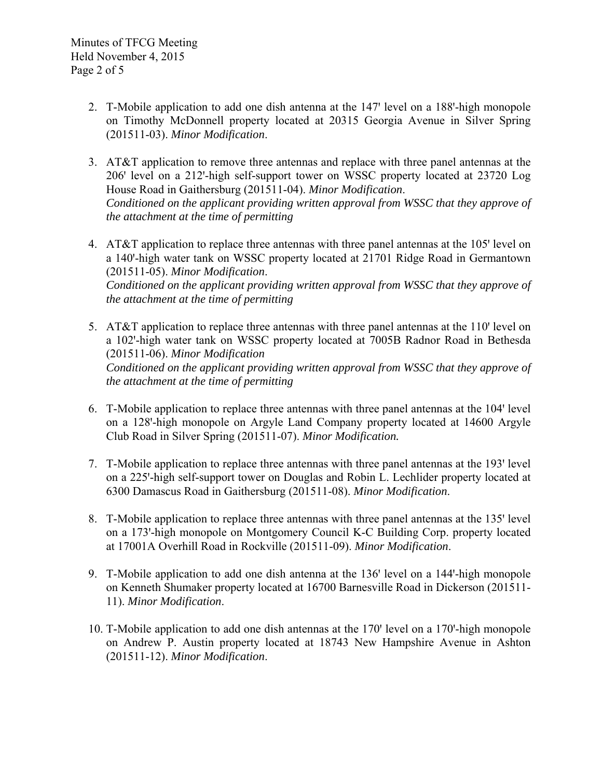- 2. T-Mobile application to add one dish antenna at the 147' level on a 188'-high monopole on Timothy McDonnell property located at 20315 Georgia Avenue in Silver Spring (201511-03). *Minor Modification*.
- 3. AT&T application to remove three antennas and replace with three panel antennas at the 206' level on a 212'-high self-support tower on WSSC property located at 23720 Log House Road in Gaithersburg (201511-04). *Minor Modification*. *Conditioned on the applicant providing written approval from WSSC that they approve of the attachment at the time of permitting*
- 4. AT&T application to replace three antennas with three panel antennas at the 105' level on a 140'-high water tank on WSSC property located at 21701 Ridge Road in Germantown (201511-05). *Minor Modification*. *Conditioned on the applicant providing written approval from WSSC that they approve of the attachment at the time of permitting*
- 5. AT&T application to replace three antennas with three panel antennas at the 110' level on a 102'-high water tank on WSSC property located at 7005B Radnor Road in Bethesda (201511-06). *Minor Modification Conditioned on the applicant providing written approval from WSSC that they approve of the attachment at the time of permitting*
- 6. T-Mobile application to replace three antennas with three panel antennas at the 104' level on a 128ꞌ-high monopole on Argyle Land Company property located at 14600 Argyle Club Road in Silver Spring (201511-07). *Minor Modification.*
- 7. T-Mobile application to replace three antennas with three panel antennas at the 193' level on a 225'-high self-support tower on Douglas and Robin L. Lechlider property located at 6300 Damascus Road in Gaithersburg (201511-08). *Minor Modification*.
- 8. T-Mobile application to replace three antennas with three panel antennas at the 135' level on a 173'-high monopole on Montgomery Council K-C Building Corp. property located at 17001A Overhill Road in Rockville (201511-09). *Minor Modification*.
- 9. T-Mobile application to add one dish antenna at the 136' level on a 144'-high monopole on Kenneth Shumaker property located at 16700 Barnesville Road in Dickerson (201511- 11). *Minor Modification*.
- 10. T-Mobile application to add one dish antennas at the 170' level on a 170'-high monopole on Andrew P. Austin property located at 18743 New Hampshire Avenue in Ashton (201511-12). *Minor Modification*.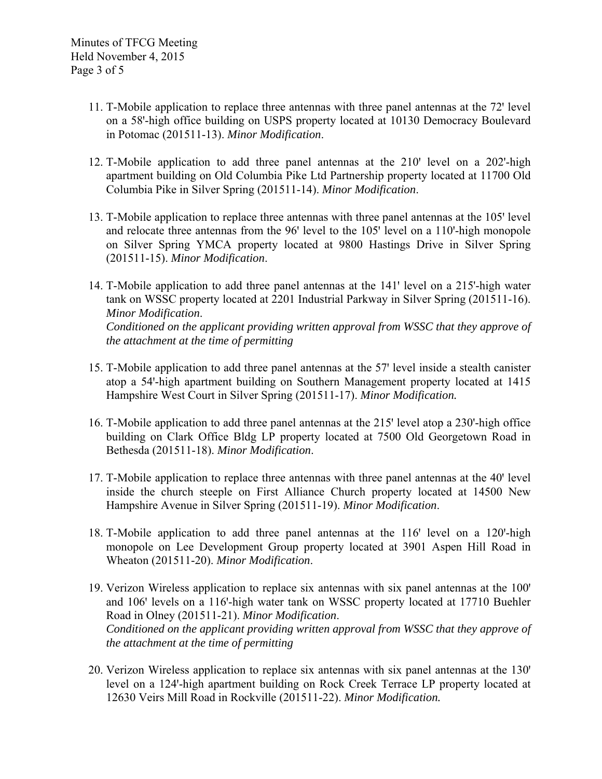- 11. T-Mobile application to replace three antennas with three panel antennas at the 72' level on a 58ꞌ-high office building on USPS property located at 10130 Democracy Boulevard in Potomac (201511-13). *Minor Modification*.
- 12. T-Mobile application to add three panel antennas at the 210' level on a 202'-high apartment building on Old Columbia Pike Ltd Partnership property located at 11700 Old Columbia Pike in Silver Spring (201511-14). *Minor Modification*.
- 13. T-Mobile application to replace three antennas with three panel antennas at the 105' level and relocate three antennas from the 96' level to the 105' level on a 110'-high monopole on Silver Spring YMCA property located at 9800 Hastings Drive in Silver Spring (201511-15). *Minor Modification*.
- 14. T-Mobile application to add three panel antennas at the 141' level on a 215'-high water tank on WSSC property located at 2201 Industrial Parkway in Silver Spring (201511-16). *Minor Modification*. *Conditioned on the applicant providing written approval from WSSC that they approve of the attachment at the time of permitting*
- 15. T-Mobile application to add three panel antennas at the 57' level inside a stealth canister atop a 54'-high apartment building on Southern Management property located at 1415 Hampshire West Court in Silver Spring (201511-17). *Minor Modification.*
- 16. T-Mobile application to add three panel antennas at the 215' level atop a 230'-high office building on Clark Office Bldg LP property located at 7500 Old Georgetown Road in Bethesda (201511-18). *Minor Modification*.
- 17. T-Mobile application to replace three antennas with three panel antennas at the 40' level inside the church steeple on First Alliance Church property located at 14500 New Hampshire Avenue in Silver Spring (201511-19). *Minor Modification*.
- 18. T-Mobile application to add three panel antennas at the 116 level on a 120-high monopole on Lee Development Group property located at 3901 Aspen Hill Road in Wheaton (201511-20). *Minor Modification*.
- 19. Verizon Wireless application to replace six antennas with six panel antennas at the 100' and 106<sup>'</sup> levels on a 116'-high water tank on WSSC property located at 17710 Buehler Road in Olney (201511-21). *Minor Modification*. *Conditioned on the applicant providing written approval from WSSC that they approve of the attachment at the time of permitting*
- 20. Verizon Wireless application to replace six antennas with six panel antennas at the 130 level on a 124'-high apartment building on Rock Creek Terrace LP property located at 12630 Veirs Mill Road in Rockville (201511-22). *Minor Modification.*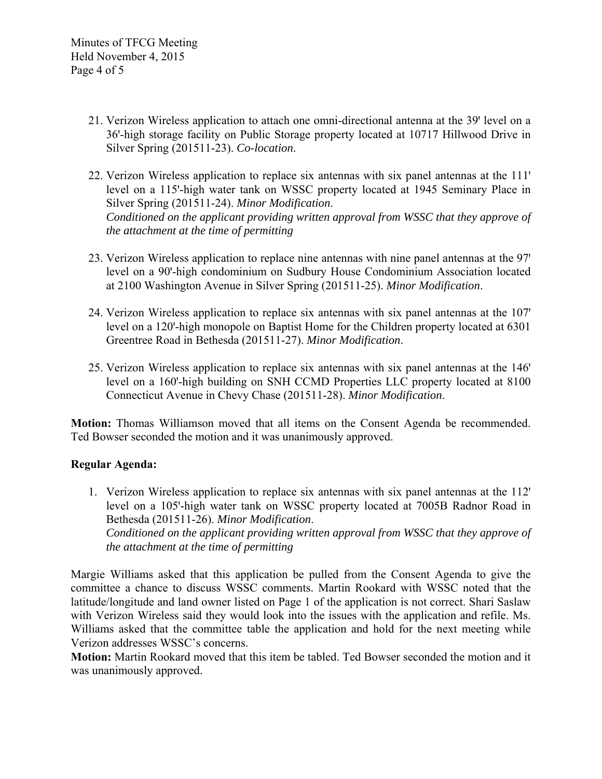- 21. Verizon Wireless application to attach one omni-directional antenna at the 39' level on a 36'-high storage facility on Public Storage property located at 10717 Hillwood Drive in Silver Spring (201511-23). *Co-location*.
- 22. Verizon Wireless application to replace six antennas with six panel antennas at the  $111'$ level on a 115'-high water tank on WSSC property located at 1945 Seminary Place in Silver Spring (201511-24). *Minor Modification*. *Conditioned on the applicant providing written approval from WSSC that they approve of the attachment at the time of permitting*
- 23. Verizon Wireless application to replace nine antennas with nine panel antennas at the 97' level on a 90'-high condominium on Sudbury House Condominium Association located at 2100 Washington Avenue in Silver Spring (201511-25). *Minor Modification*.
- 24. Verizon Wireless application to replace six antennas with six panel antennas at the 107 level on a 120'-high monopole on Baptist Home for the Children property located at 6301 Greentree Road in Bethesda (201511-27). *Minor Modification*.
- 25. Verizon Wireless application to replace six antennas with six panel antennas at the 146 level on a 160'-high building on SNH CCMD Properties LLC property located at 8100 Connecticut Avenue in Chevy Chase (201511-28). *Minor Modification*.

**Motion:** Thomas Williamson moved that all items on the Consent Agenda be recommended. Ted Bowser seconded the motion and it was unanimously approved.

# **Regular Agenda:**

1. Verizon Wireless application to replace six antennas with six panel antennas at the 112' level on a 105'-high water tank on WSSC property located at 7005B Radnor Road in Bethesda (201511-26). *Minor Modification*. *Conditioned on the applicant providing written approval from WSSC that they approve of the attachment at the time of permitting* 

Margie Williams asked that this application be pulled from the Consent Agenda to give the committee a chance to discuss WSSC comments. Martin Rookard with WSSC noted that the latitude/longitude and land owner listed on Page 1 of the application is not correct. Shari Saslaw with Verizon Wireless said they would look into the issues with the application and refile. Ms. Williams asked that the committee table the application and hold for the next meeting while Verizon addresses WSSC's concerns.

**Motion:** Martin Rookard moved that this item be tabled. Ted Bowser seconded the motion and it was unanimously approved.